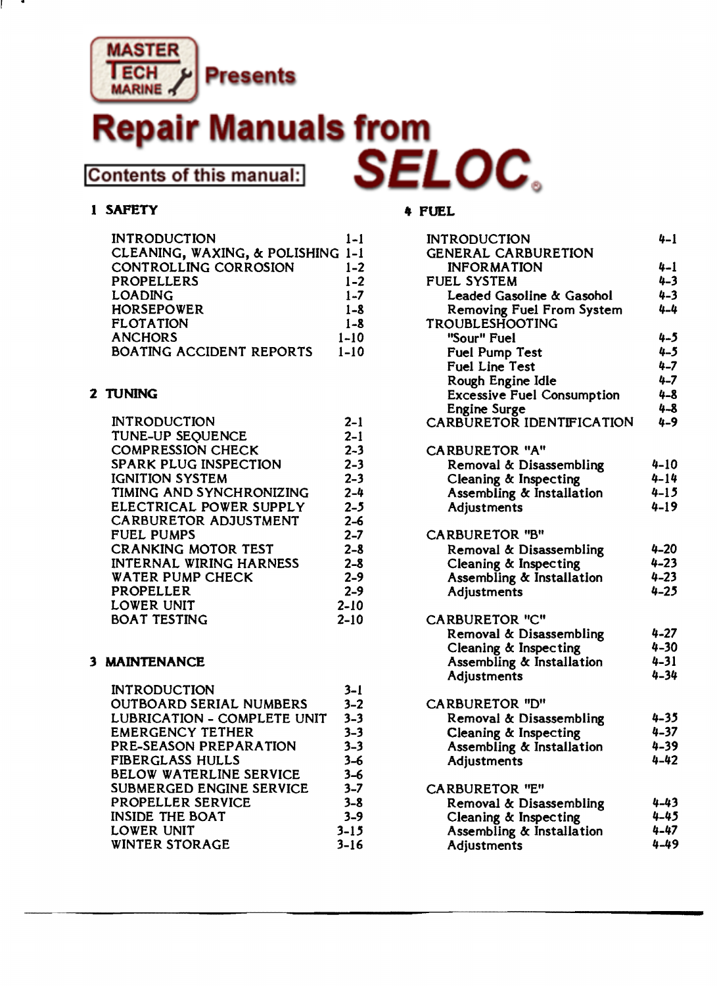

# Aanuals from **Contents of this manual:**

### 1 SAFETY **4 FUEL**

| <b>INTRODUCTION</b>               | $1 - 1$  | <b>INTRODUCTION</b>           |
|-----------------------------------|----------|-------------------------------|
| CLEANING, WAXING, & POLISHING 1-1 |          | <b>GENERAL CARBURETION</b>    |
| CONTROLLING CORROSION             | $1 - 2$  | <b>INFORMATION</b>            |
| <b>PROPELLERS</b>                 | $1 - 2$  | <b>FUEL SYSTEM</b>            |
| <b>LOADING</b>                    | $1 - 7$  | Leaded Gasoline & Gasoh       |
| <b>HORSEPOWER</b>                 | $1 - 8$  | <b>Removing Fuel From Sys</b> |
| <b>FLOTATION</b>                  | $1 - 8$  | <b>TROUBLESHOOTING</b>        |
| <b>ANCHORS</b>                    | $1 - 10$ | "Sour" Fuel                   |
| BOATING ACCIDENT REPORTS          | $1 - 10$ | <b>Fuel Pump Test</b>         |

| <b>INTRODUCTION</b>            | $2 - 1$  | <b>CARBURETOR IDEN</b> |
|--------------------------------|----------|------------------------|
| TUNE-UP SEQUENCE               | $2 - 1$  |                        |
| <b>COMPRESSION CHECK</b>       | $2 - 3$  | <b>CARBURETOR "A"</b>  |
| <b>SPARK PLUG INSPECTION</b>   | $2 - 3$  | Removal & Disas        |
| <b>IGNITION SYSTEM</b>         | $2 - 3$  | Cleaning & Insper      |
| TIMING AND SYNCHRONIZING       | $2 - 4$  | Assembling & Ins       |
| ELECTRICAL POWER SUPPLY        | $2 - 5$  | Adjustments            |
| <b>CARBURETOR ADJUSTMENT</b>   | $2 - 6$  |                        |
| <b>FUEL PUMPS</b>              | $2 - 7$  | <b>CARBURETOR "B"</b>  |
| <b>CRANKING MOTOR TEST</b>     | $2 - 8$  | Removal & Disas:       |
| <b>INTERNAL WIRING HARNESS</b> | $2 - 8$  | Cleaning & Inspec      |
| <b>WATER PUMP CHECK</b>        | $2 - 9$  | Assembling & Inst      |
| PROPELLER                      | $2 - 9$  | Adjustments            |
| LOWER UNIT                     | $2 - 10$ |                        |
| <b>BOAT TESTING</b>            | $2 - 10$ | <b>CARBURETOR "C"</b>  |
|                                |          |                        |

### **3 MAINTENANCE**

| <b>INTRODUCTION</b>            | 3-l      |                           |          |
|--------------------------------|----------|---------------------------|----------|
| <b>OUTBOARD SERIAL NUMBERS</b> | $3 - 2$  | <b>CARBURETOR "D"</b>     |          |
| LUBRICATION - COMPLETE UNIT    | $3 - 3$  | Removal & Disassembling   | $4 - 35$ |
| <b>EMERGENCY TETHER</b>        | $3 - 3$  | Cleaning & Inspecting     | $4 - 37$ |
| PRE-SEASON PREPARATION         | $3 - 3$  | Assembling & Installation | $4 - 39$ |
| FIBERGLASS HULLS               | $3 - 6$  | Adjustments               | $4 - 42$ |
| <b>BELOW WATERLINE SERVICE</b> | $3 - 6$  |                           |          |
| SUBMERGED ENGINE SERVICE       | $3 - 7$  | <b>CARBURETOR "E"</b>     |          |
| PROPELLER SERVICE              | $3 - 8$  | Removal & Disassembling   | $4 - 43$ |
| <b>INSIDE THE BOAT</b>         | $3 - 9$  | Cleaning & Inspecting     | $4 - 45$ |
| LOWER UNIT                     | $3 - 15$ | Assembling & Installation | $4 - 47$ |
| <b>WINTER STORAGE</b>          | $3 - 16$ | Adjustments               | $4 - 49$ |
|                                |          |                           |          |

|                | <b>INTRODUCTION</b>                           | $1 - 1$            | <b>INTRODUCTION</b>                                | $4 - 1$              |
|----------------|-----------------------------------------------|--------------------|----------------------------------------------------|----------------------|
|                | CLEANING, WAXING, & POLISHING 1-1             |                    | <b>GENERAL CARBURETION</b>                         |                      |
|                | CONTROLLING CORROSION                         | $1 - 2$            | <b>INFORMATION</b>                                 | 4-1                  |
|                | <b>PROPELLERS</b>                             | $1 - 2$            | <b>FUEL SYSTEM</b>                                 | $4 - 3$              |
| <b>LOADING</b> |                                               | $1 - 7$            | Leaded Gasoline & Gasohol                          | $4 - 3$              |
|                | <b>HORSEPOWER</b>                             | $1 - 8$            | Removing Fuel From System                          | $4 - 4$              |
|                | <b>FLOTATION</b>                              | $1 - 8$            | <b>TROUBLESHOOTING</b>                             |                      |
| <b>ANCHORS</b> |                                               | $1 - 10$           | "Sour" Fuel                                        | 4-5                  |
|                | <b>BOATING ACCIDENT REPORTS</b>               | $1 - 10$           | <b>Fuel Pump Test</b>                              | $4 - 5$              |
|                |                                               |                    | <b>Fuel Line Test</b>                              | $4 - 7$              |
|                |                                               |                    | Rough Engine Idle                                  | $4 - 7$              |
| 2 TUNING       |                                               |                    | <b>Excessive Fuel Consumption</b>                  | $4 - 8$              |
|                |                                               |                    | <b>Engine Surge</b>                                | $4 - 8$              |
|                | <b>INTRODUCTION</b>                           | $2 - 1$            | CARBURETOR IDENTIFICATION                          | $4 - 9$              |
|                | TUNE-UP SEQUENCE                              | $2 - 1$            |                                                    |                      |
|                | <b>COMPRESSION CHECK</b>                      | $2 - 3$            | <b>CARBURETOR "A"</b>                              |                      |
|                | SPARK PLUG INSPECTION                         | $2 - 3$            | Removal & Disassembling                            | $4 - 10$             |
|                | <b>IGNITION SYSTEM</b>                        | $2 - 3$            | Cleaning & Inspecting                              | $4 - 14$             |
|                | TIMING AND SYNCHRONIZING                      | $2 - 4$            | Assembling & Installation                          | $4 - 15$             |
|                | ELECTRICAL POWER SUPPLY                       | $2 - 5$            | Adjustments                                        | $4 - 19$             |
|                | <b>CARBURETOR ADJUSTMENT</b>                  | $2 - 6$            |                                                    |                      |
|                | <b>FUEL PUMPS</b>                             | $2 - 7$            | <b>CARBURETOR "B"</b>                              |                      |
|                | <b>CRANKING MOTOR TEST</b>                    | $2 - 8$            | Removal & Disassembling                            | $4 - 20$             |
|                | <b>INTERNAL WIRING HARNESS</b>                | $2 - 8$            | Cleaning & Inspecting                              | $4 - 23$             |
|                | <b>WATER PUMP CHECK</b>                       | $2 - 9$            | Assembling & Installation                          | $4 - 23$             |
|                | PROPELLER                                     | $2 - 9$            | Adjustments                                        | $4 - 25$             |
|                | LOWER UNIT                                    | $2 - 10$           |                                                    |                      |
|                | <b>BOAT TESTING</b>                           | $2 - 10$           | <b>CARBURETOR "C"</b>                              |                      |
|                |                                               |                    | Removal & Disassembling                            | $4 - 27$             |
|                |                                               |                    | Cleaning & Inspecting                              | $4 - 30$             |
| 3 MAINTENANCE  |                                               |                    | Assembling & Installation                          | $4 - 31$             |
|                |                                               |                    | Adjustments                                        | $4 - 34$             |
|                | <b>INTRODUCTION</b>                           | $3-1$              |                                                    |                      |
|                | <b>OUTBOARD SERIAL NUMBERS</b>                | $3 - 2$            | <b>CARBURETOR "D"</b>                              |                      |
|                | LUBRICATION - COMPLETE UNIT                   | $3 - 3$            | Removal & Disassembling                            | $4 - 35$             |
|                | <b>EMERGENCY TETHER</b>                       | $3 - 3$            | Cleaning & Inspecting                              | $4 - 37$             |
|                | PRE-SEASON PREPARATION                        | $3 - 3$            | Assembling & Installation                          | $4 - 39$             |
|                | <b>FIBERGLASS HULLS</b>                       | $3 - 6$            | <b>Adjustments</b>                                 | $4 - 42$             |
|                | <b>BELOW WATERLINE SERVICE</b>                | $3 - 6$            |                                                    |                      |
|                | SUBMERGED ENGINE SERVICE<br>PROPELLER SERVICE | $3 - 7$            | <b>CARBURETOR "E"</b>                              |                      |
|                | <b>INSIDE THE BOAT</b>                        | $3 - 8$<br>$3 - 9$ | Removal & Disassembling                            | $4 - 43$<br>$4 - 45$ |
|                | LOWER UNIT                                    | $3 - 15$           | Cleaning & Inspecting<br>Assembling & Installation | $4 - 47$             |
|                | WINTER STORACE                                | $3 - 16$           | <b>Adivetmente</b>                                 | $4 - 49$             |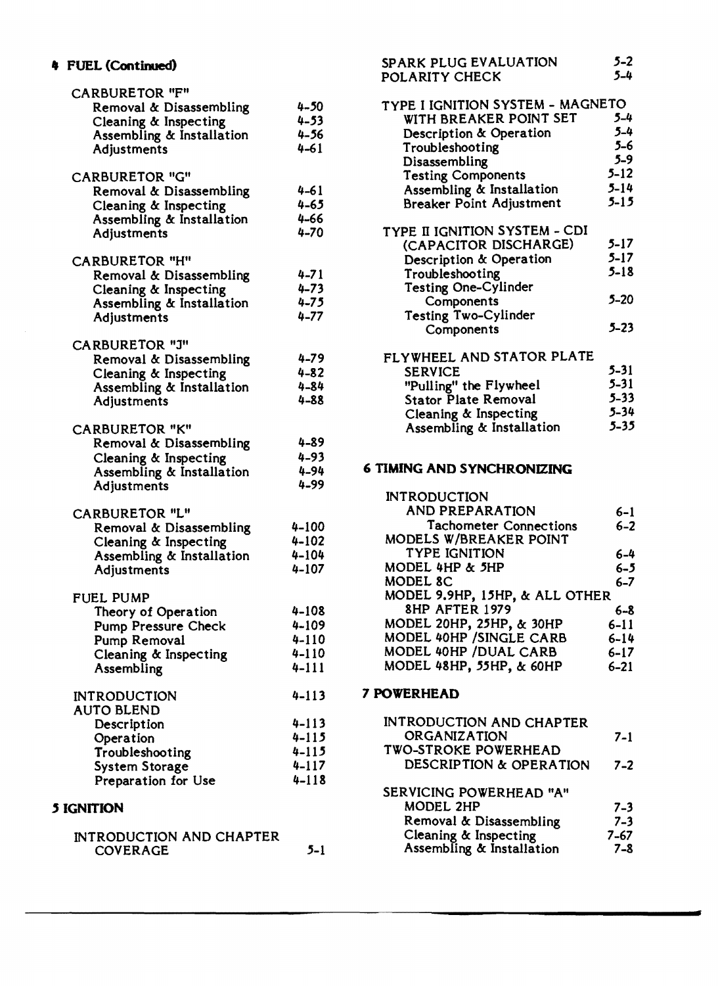| <b>CARBURETOR "F"</b>                        |                        |                                   |          |
|----------------------------------------------|------------------------|-----------------------------------|----------|
| Removal & Disassembling                      | $4 - 50$               | TYPE I IGNITION SYSTEM - MAGNETO  |          |
| Cleaning & Inspecting                        | $4 - 53$               | WITH BREAKER POINT SET            | $5 - 4$  |
| Assembling & Installation                    | $4 - 56$               | Description & Operation           | $5 - 4$  |
| <b>Adjustments</b>                           | $4 - 61$               | Troubleshooting                   | $5-6$    |
|                                              |                        | Disassembling                     | $5 - 9$  |
| <b>CARBURETOR "G"</b>                        |                        | <b>Testing Components</b>         | $5 - 12$ |
| Removal & Disassembling                      | $4 - 61$               | Assembling & Installation         | $5 - 14$ |
| Cleaning & Inspecting                        | $4 - 65$               | <b>Breaker Point Adjustment</b>   | $5 - 15$ |
| Assembling & Installation                    | $4 - 66$               |                                   |          |
| Adjustments                                  | $4 - 70$               | TYPE II IGNITION SYSTEM - CDI     |          |
|                                              |                        | (CAPACITOR DISCHARGE)             | $5 - 17$ |
| <b>CARBURETOR "H"</b>                        |                        | Description & Operation           | $5 - 17$ |
| Removal & Disassembling                      | $4 - 71$               | Troubleshooting                   | $5 - 18$ |
| Cleaning & Inspecting                        | $4 - 73$               | <b>Testing One-Cylinder</b>       |          |
| Assembling & Installation                    | $4 - 75$               | Components                        | $5 - 20$ |
| Adjustments                                  | $4 - 77$               | <b>Testing Two-Cylinder</b>       |          |
|                                              |                        | Components                        | $5 - 23$ |
| <b>CARBURETOR "J"</b>                        |                        |                                   |          |
| Removal & Disassembling                      | $4 - 79$               | FLYWHEEL AND STATOR PLATE         |          |
| Cleaning & Inspecting                        | $4 - 82$               | <b>SERVICE</b>                    | $5 - 31$ |
| Assembling & Installation                    | $4 - 84$               | "Pulling" the Flywheel            | $5 - 31$ |
| Adjustments                                  | $4 - 88$               | <b>Stator Plate Removal</b>       | $5 - 33$ |
|                                              |                        | Cleaning & Inspecting             | $5 - 34$ |
| <b>CARBURETOR "K"</b>                        |                        | Assembling & Installation         | $5 - 35$ |
| Removal & Disassembling                      | $4 - 89$               |                                   |          |
| Cleaning & Inspecting                        | $4 - 93$               |                                   |          |
| Assembling & Installation                    | $4 - 94$               | <b>6 TIMING AND SYNCHRONIZING</b> |          |
| Adjustments                                  | $4 - 99$               |                                   |          |
|                                              |                        | <b>INTRODUCTION</b>               |          |
| <b>CARBURETOR "L"</b>                        |                        | <b>AND PREPARATION</b>            | $6 - 1$  |
| Removal & Disassembling                      | $4 - 100$              | <b>Tachometer Connections</b>     | $6 - 2$  |
| Cleaning & Inspecting                        | $4 - 102$              | MODELS W/BREAKER POINT            |          |
| Assembling & Installation                    | $4 - 104$              | <b>TYPE IGNITION</b>              | $6 - 4$  |
| Adjustments                                  | $4 - 107$              | MODEL 4HP & 5HP                   | $6 - 5$  |
|                                              |                        | MODEL 8C                          | $6 - 7$  |
| <b>FUEL PUMP</b>                             |                        | MODEL 9.9HP, 15HP, & ALL OTHER    |          |
| Theory of Operation                          | $4 - 108$              | <b>8HP AFTER 1979</b>             | $6 - 8$  |
| <b>Pump Pressure Check</b>                   | $4 - 109$              | MODEL 20HP, 25HP, & 30HP          | $6 - 11$ |
| Pump Removal                                 | $4 - 110$              | MODEL 40HP / SINGLE CARB          | $6 - 14$ |
| Cleaning & Inspecting                        | $4 - 110$              | MODEL 40HP / DUAL CARB            | $6 - 17$ |
| Assembling                                   | $4 - 111$              | MODEL 48HP, 55HP, & 60HP          | $6 - 21$ |
|                                              |                        | 7 POWERHEAD                       |          |
| <b>INTRODUCTION</b>                          | $4 - 113$              |                                   |          |
| <b>AUTO BLEND</b>                            |                        | <b>INTRODUCTION AND CHAPTER</b>   |          |
| Description                                  | $4 - 113$<br>$4 - 115$ | ORGANIZATION                      | $7-1$    |
| Operation                                    | $4 - 115$              | <b>TWO-STROKE POWERHEAD</b>       |          |
| Troubleshooting                              | $4 - 117$              | DESCRIPTION & OPERATION           | $7 - 2$  |
| <b>System Storage</b><br>Preparation for Use | $4 - 118$              |                                   |          |
|                                              |                        | SERVICING POWERHEAD "A"           |          |
| <b>5 IGNITION</b>                            |                        | MODEL 2HP                         | $7 - 3$  |
|                                              |                        |                                   |          |

## INTRODUCTION AND CHAPTER<br>COVERAGE 5-1

4 FUEL (Continued) 5-2<br>POLARITY CHECK 5-4

| <b>RBURETOR "F"</b>       |          |                                  |          |
|---------------------------|----------|----------------------------------|----------|
| Removal & Disassembling   | $4 - 50$ | TYPE I IGNITION SYSTEM - MAGNETO |          |
| Cleaning & Inspecting     | $4 - 53$ | WITH BREAKER POINT SET           | $5 - 4$  |
| Assembling & Installation | $4 - 56$ | Description & Operation          | $5 - 4$  |
| Adjustments               | $4 - 61$ | Troubleshooting                  | $5-6$    |
|                           |          | Disassembling                    | $5 - 9$  |
| RBURETOR "G"              |          | <b>Testing Components</b>        | $5 - 12$ |
| Removal & Disassembling   | $4 - 61$ | Assembling & Installation        | $5 - 14$ |
| Cleaning & Inspecting     | $4 - 65$ | Breaker Point Adjustment         | $5 - 15$ |
| Assembling & Installation | $4 - 66$ |                                  |          |
| Adjustments               | $4 - 70$ | TYPE II IGNITION SYSTEM - CDI    |          |
|                           |          | (CAPACITOR DISCHARGE)            | $5 - 17$ |
| RBURETOR "H"              |          | Description & Operation          | $5 - 17$ |
| Removal & Disassembling   | $4 - 71$ | Troubleshooting                  | $5 - 18$ |
| Cleaning & Inspecting     | $4 - 73$ | Testing One-Cylinder             |          |
| Assembling & Installation | $4 - 75$ | Components                       | $5 - 20$ |
| Adjustments               | $4 - 77$ | Testing Two-Cylinder             |          |
|                           |          | Components                       | $5 - 23$ |
|                           |          |                                  |          |

| RDURLIUR J                |          |                             |          |
|---------------------------|----------|-----------------------------|----------|
| Removal & Disassembling   | $4 - 79$ | FLYWHEEL AND STATOR PLATE   |          |
| Cleaning & Inspecting     | $4 - 82$ | <b>SERVICE</b>              | $5 - 31$ |
| Assembling & Installation | $4 - 84$ | "Pulling" the Flywheel      | $5 - 31$ |
| Adjustments               | $4 - 88$ | <b>Stator Plate Removal</b> | $5 - 33$ |
|                           |          | Cleaning & Inspecting       | $5 - 34$ |
| <b>RBURETOR "K"</b>       |          | Assembling & Installation   | $5 - 35$ |
|                           |          |                             |          |

|                           |           | <b>INTRODUCTION</b>            |          |
|---------------------------|-----------|--------------------------------|----------|
| RBURETOR "L"              |           | <b>AND PREPARATION</b>         | $6 - 1$  |
| Removal & Disassembling   | $4 - 100$ | <b>Tachometer Connections</b>  | $6 - 2$  |
| Cleaning & Inspecting     | $4 - 102$ | MODELS W/BREAKER POINT         |          |
| Assembling & Installation | $4 - 104$ | <b>TYPE IGNITION</b>           | $6 - 4$  |
| <b>Adjustments</b>        | $4 - 107$ | MODEL 4HP & 5HP                | $6 - 5$  |
|                           |           | MODEL 8C                       | $6 - 7$  |
| EL PUMP                   |           | MODEL 9.9HP, 15HP, & ALL OTHER |          |
| Theory of Operation       | $4 - 108$ | 8HP AFTER 1979                 | $6 - 8$  |
| Pump Pressure Check       | $4 - 109$ | MODEL 20HP, 25HP, & 30HP       | $6 - 11$ |
| Pump Removal              | $4 - 110$ | MODEL 40HP / SINGLE CARB       | $6 - 14$ |
| Cleaning & Inspecting     | $4 - 110$ | MODEL 40HP / DUAL CARB         | $6 - 17$ |
| Assembling                | $4 - 111$ | MODEL 48HP, 55HP, & 60HP       | $6 - 21$ |

| Description           | $4 - 113$ | <b>INTRODUCTION AND CHAPTER</b> |         |
|-----------------------|-----------|---------------------------------|---------|
| Operation             | $4 - 115$ | ORGANIZATION                    | $7 - 1$ |
| Troubleshooting       | $4 - 115$ | <b>TWO-STROKE POWERHEAD</b>     |         |
| <b>System Storage</b> | $4 - 117$ | DESCRIPTION & OPERATION         | $7 - 2$ |
| Preparation for Use   | $4 - 118$ |                                 |         |
|                       |           | SERVICING POWERHEAD "A"         |         |
| <b>TION</b>           |           | MODEL 2HP                       | $7 - 3$ |
|                       |           | Removal & Disassembling         | $7 - 3$ |
| RODUCTION AND CHAPTER |           | Cleaning & Inspecting           | 7-67    |
| <b>COVERAGE</b>       | $5 - 1$   | Assembling & Installation       | $7 - 8$ |

4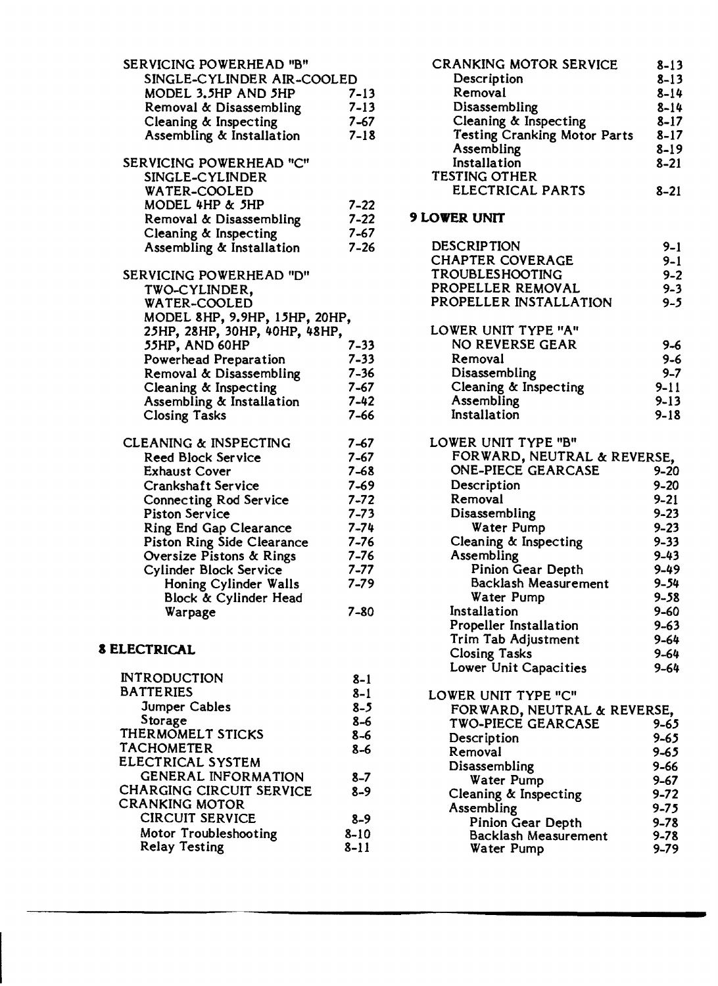| SERVICING POWERHEAD "B"           |          |
|-----------------------------------|----------|
| SINGLE-CYLINDER AIR-COOLED        |          |
| MODEL 3.5HP AND 5HP               | $7 - 13$ |
| Removal & Disassembling           | $7 - 13$ |
| Cleaning & Inspecting             | 7-67     |
| Assembling & Installation         | $7 - 18$ |
|                                   |          |
| SERVICING POWERHEAD "C"           |          |
| SINGLE-CYLINDER                   |          |
| WATER-COOLED                      |          |
| MODEL 4HP & 5HP                   | $7 - 22$ |
| Removal & Disassembling           | $7 - 22$ |
| Cleaning & Inspecting             | $7 - 67$ |
| Assembling & Installation         | $7 - 26$ |
|                                   |          |
| SERVICING POWERHEAD "D"           |          |
| TWO-CYLINDER,                     |          |
| <b>WATER-COOLED</b>               |          |
| MODEL 8HP, 9.9HP, 15HP, 20HP,     |          |
| 25HP, 28HP, 30HP, 40HP, 48HP,     |          |
| 55HP, AND 60HP                    | 7-33     |
| <b>Powerhead Preparation</b>      | $7 - 33$ |
| Removal & Disassembling           | 7-36     |
| Cleaning & Inspecting             | $7 - 67$ |
| Assembling & Installation         | $7 - 42$ |
| <b>Closing Tasks</b>              | $7 - 66$ |
|                                   |          |
| <b>CLEANING &amp; INSPECTING</b>  | 7–67     |
| <b>Reed Block Service</b>         | $7 - 67$ |
| <b>Exhaust Cover</b>              | 7-68     |
| Crankshaft Service                | $7 - 69$ |
| <b>Connecting Rod Service</b>     | $7 - 72$ |
| <b>Piston Service</b>             | $7 - 73$ |
| Ring End Gap Clearance            | $7 - 74$ |
| <b>Piston Ring Side Clearance</b> | $7 - 76$ |
| Oversize Pistons & Rings          | $7 - 76$ |
| <b>Cylinder Block Service</b>     | $7 - 77$ |
| Honing Cylinder Walls             | $7 - 79$ |
| Block & Cylinder Head             |          |
| Warpage                           | $7 - 80$ |
|                                   |          |
|                                   |          |

### a ELECTRICAL

| <b>INTRODUCTION</b>             | $8 - 1$  |
|---------------------------------|----------|
| <b>BATTERIES</b>                | $8 - 1$  |
| <b>Jumper Cables</b>            | $8 - 5$  |
| Storage                         | $8 - 6$  |
| THERMOMELT STICKS               | $8 - 6$  |
| <b>TACHOMETER</b>               | $8 - 6$  |
| ELECTRICAL SYSTEM               |          |
| <b>GENERAL INFORMATION</b>      | $8 - 7$  |
| <b>CHARGING CIRCUIT SERVICE</b> | $8-9$    |
| CRANKING MOTOR                  |          |
| <b>CIRCUIT SERVICE</b>          | $8 - 9$  |
| Motor Troubleshooting           | $8 - 10$ |
| <b>Relay Testing</b>            | 8–11     |
|                                 |          |

| <b>CRANKING MOTOR SERVICE</b>       | $8 - 13$ |
|-------------------------------------|----------|
| Description                         | $8 - 13$ |
| Removal                             | $8 - 14$ |
| Disassembling                       | $8 - 14$ |
| Cleaning & Inspecting               | $8 - 17$ |
| <b>Testing Cranking Motor Parts</b> | $8 - 17$ |
| Assembling                          | $8 - 19$ |
| Installation                        | $8 - 21$ |
| <b>TESTING OTHER</b>                |          |
| <b>ELECTRICAL PARTS</b>             | 8–21     |
|                                     |          |

### 9 LOWER UNIT

| <b>DESCRIPTION</b>          | $9 - 1$  |
|-----------------------------|----------|
| <b>CHAPTER COVERAGE</b>     | $9 - 1$  |
| TROUBLESHOOTING             | $9 - 2$  |
| PROPELLER REMOVAL           | $9 - 3$  |
| PROPELLER INSTALLATION      | $9 - 5$  |
| LOWER UNIT TYPE "A"         |          |
| NO REVERSE GEAR             | 9-6      |
| Removal                     | $9 - 6$  |
| Disassembling               | $9 - 7$  |
| Cleaning & Inspecting       | $9 - 11$ |
| Assembling                  | $9 - 13$ |
| Installation                | $9 - 18$ |
| LOWER UNIT TYPE "B"         |          |
| FORWARD, NEUTRAL & REVERSE, |          |
| <b>ONE-PIECE GEARCASE</b>   | 9–20     |
| Description                 | $9 - 20$ |
| Removal                     | $9 - 21$ |
| Disassembling               | $9 - 23$ |
| Water Pump                  | $9 - 23$ |
| Cleaning & Inspecting       | $9 - 33$ |
| Assembling                  | $9 - 43$ |
| Pinion Gear Depth           | $9 - 49$ |
| Backlash Measurement        | $9 - 54$ |
| Water Pump                  | $9 - 58$ |
| Installation                | $9 - 60$ |
| Propeller Installation      | $9 - 63$ |
| Trim Tab Adjustment         | $9 - 64$ |
| <b>Closing Tasks</b>        | $9 - 64$ |
| Lower Unit Capacities       | $9 - 64$ |
| LOWER UNIT TYPE "C"         |          |
| FORWARD, NEUTRAL & REVERSE, |          |
| TWO-PIECE GEARCASE          | 9-65     |
| Description                 | $9 - 65$ |
| Removal                     | 9-65     |
| Disassembling               | 9-66     |
| Water Pump                  | $9 - 67$ |
| Cleaning & Inspecting       | $9 - 72$ |
| Assembling                  | $9 - 75$ |
| Pinion Gear Depth           | $9 - 78$ |
| Backlash Measurement        | $9 - 78$ |
| Water Pump                  | $9 - 79$ |
|                             |          |